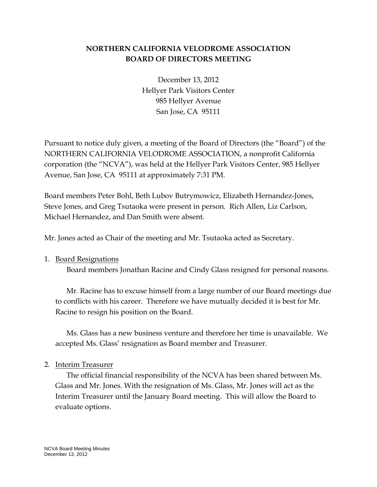## **NORTHERN CALIFORNIA VELODROME ASSOCIATION BOARD OF DIRECTORS MEETING**

December 13, 2012 Hellyer Park Visitors Center 985 Hellyer Avenue San Jose, CA 95111

Pursuant to notice duly given, a meeting of the Board of Directors (the "Board") of the NORTHERN CALIFORNIA VELODROME ASSOCIATION, a nonprofit California corporation (the "NCVA"), was held at the Hellyer Park Visitors Center, 985 Hellyer Avenue, San Jose, CA 95111 at approximately 7:31 PM.

Board members Peter Bohl, Beth Lubov Butrymowicz, Elizabeth Hernandez-Jones, Steve Jones, and Greg Tsutaoka were present in person. Rich Allen, Liz Carlson, Michael Hernandez, and Dan Smith were absent.

Mr. Jones acted as Chair of the meeting and Mr. Tsutaoka acted as Secretary.

1. Board Resignations

Board members Jonathan Racine and Cindy Glass resigned for personal reasons.

Mr. Racine has to excuse himself from a large number of our Board meetings due to conflicts with his career. Therefore we have mutually decided it is best for Mr. Racine to resign his position on the Board.

Ms. Glass has a new business venture and therefore her time is unavailable. We accepted Ms. Glass' resignation as Board member and Treasurer.

2. Interim Treasurer

The official financial responsibility of the NCVA has been shared between Ms. Glass and Mr. Jones. With the resignation of Ms. Glass, Mr. Jones will act as the Interim Treasurer until the January Board meeting. This will allow the Board to evaluate options.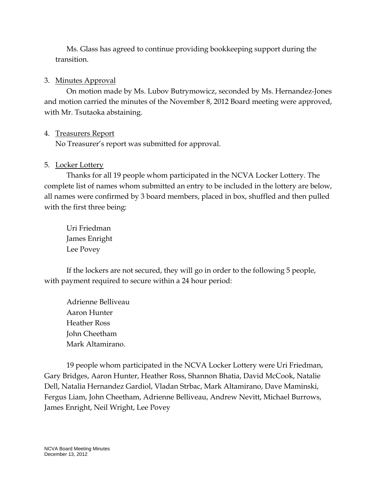Ms. Glass has agreed to continue providing bookkeeping support during the transition.

## 3. Minutes Approval

On motion made by Ms. Lubov Butrymowicz, seconded by Ms. Hernandez-Jones and motion carried the minutes of the November 8, 2012 Board meeting were approved, with Mr. Tsutaoka abstaining.

# 4. Treasurers Report

No Treasurer's report was submitted for approval.

# 5. Locker Lottery

Thanks for all 19 people whom participated in the NCVA Locker Lottery. The complete list of names whom submitted an entry to be included in the lottery are below, all names were confirmed by 3 board members, placed in box, shuffled and then pulled with the first three being:

Uri Friedman James Enright Lee Povey

If the lockers are not secured, they will go in order to the following 5 people, with payment required to secure within a 24 hour period:

Adrienne Belliveau Aaron Hunter Heather Ross John Cheetham Mark Altamirano.

19 people whom participated in the NCVA Locker Lottery were Uri Friedman, Gary Bridges, Aaron Hunter, Heather Ross, Shannon Bhatia, David McCook, Natalie Dell, Natalia Hernandez Gardiol, Vladan Strbac, Mark Altamirano, Dave Maminski, Fergus Liam, John Cheetham, Adrienne Belliveau, Andrew Nevitt, Michael Burrows, James Enright, Neil Wright, Lee Povey